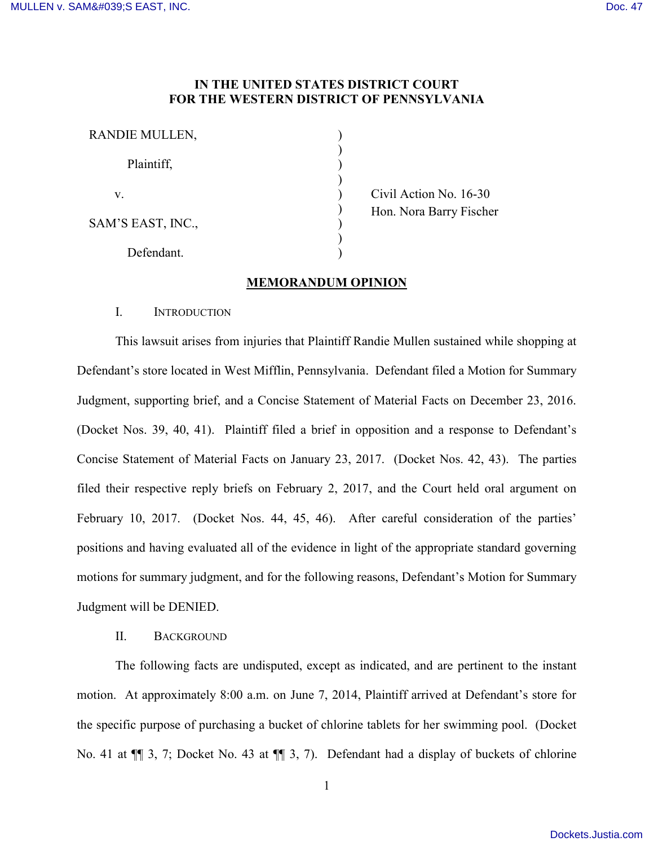### **IN THE UNITED STATES DISTRICT COURT FOR THE WESTERN DISTRICT OF PENNSYLVANIA**

) ) ) ) ) ) ) ) )

| RANDIE MULLEN,    |  |
|-------------------|--|
| Plaintiff,        |  |
| V.                |  |
| SAM'S EAST, INC., |  |
| Defendant.        |  |

 Civil Action No. 16-30 Hon. Nora Barry Fischer

## **MEMORANDUM OPINION**

# I. INTRODUCTION

This lawsuit arises from injuries that Plaintiff Randie Mullen sustained while shopping at Defendant's store located in West Mifflin, Pennsylvania. Defendant filed a Motion for Summary Judgment, supporting brief, and a Concise Statement of Material Facts on December 23, 2016. (Docket Nos. 39, 40, 41). Plaintiff filed a brief in opposition and a response to Defendant's Concise Statement of Material Facts on January 23, 2017. (Docket Nos. 42, 43). The parties filed their respective reply briefs on February 2, 2017, and the Court held oral argument on February 10, 2017. (Docket Nos. 44, 45, 46). After careful consideration of the parties' positions and having evaluated all of the evidence in light of the appropriate standard governing motions for summary judgment, and for the following reasons, Defendant's Motion for Summary Judgment will be DENIED.

### II. BACKGROUND

The following facts are undisputed, except as indicated, and are pertinent to the instant motion. At approximately 8:00 a.m. on June 7, 2014, Plaintiff arrived at Defendant's store for the specific purpose of purchasing a bucket of chlorine tablets for her swimming pool. (Docket No. 41 at  $\P$  3, 7; Docket No. 43 at  $\P$  3, 7). Defendant had a display of buckets of chlorine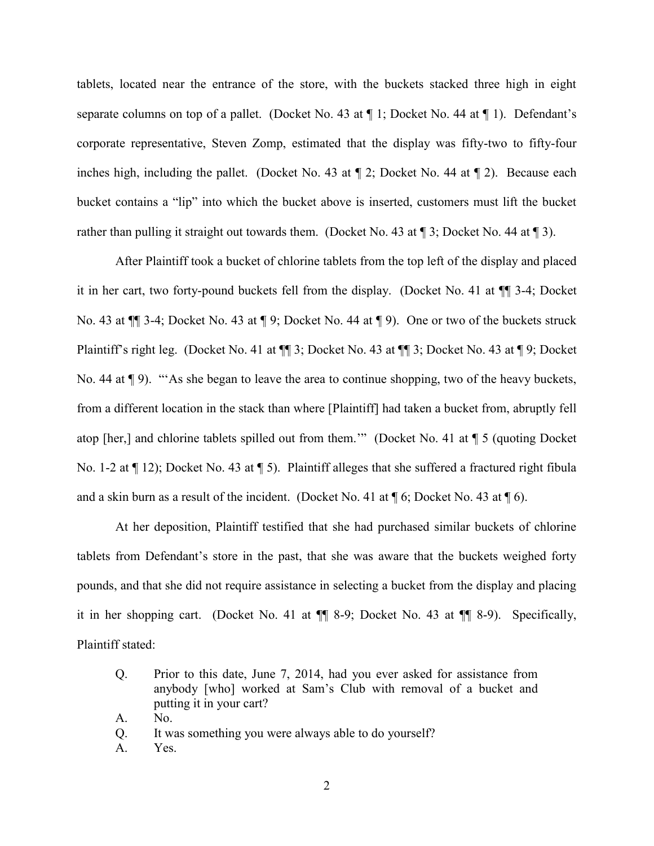tablets, located near the entrance of the store, with the buckets stacked three high in eight separate columns on top of a pallet. (Docket No. 43 at ¶ 1; Docket No. 44 at ¶ 1). Defendant's corporate representative, Steven Zomp, estimated that the display was fifty-two to fifty-four inches high, including the pallet. (Docket No. 43 at  $\P$  2; Docket No. 44 at  $\P$  2). Because each bucket contains a "lip" into which the bucket above is inserted, customers must lift the bucket rather than pulling it straight out towards them. (Docket No. 43 at  $\P$  3; Docket No. 44 at  $\P$  3).

After Plaintiff took a bucket of chlorine tablets from the top left of the display and placed it in her cart, two forty-pound buckets fell from the display. (Docket No. 41 at ¶¶ 3-4; Docket No. 43 at ¶¶ 3-4; Docket No. 43 at ¶ 9; Docket No. 44 at ¶ 9). One or two of the buckets struck Plaintiff's right leg. (Docket No. 41 at ¶¶ 3; Docket No. 43 at ¶¶ 3; Docket No. 43 at ¶ 9; Docket No. 44 at ¶ 9). "'As she began to leave the area to continue shopping, two of the heavy buckets, from a different location in the stack than where [Plaintiff] had taken a bucket from, abruptly fell atop [her,] and chlorine tablets spilled out from them.'" (Docket No. 41 at ¶ 5 (quoting Docket No. 1-2 at ¶ 12); Docket No. 43 at ¶ 5). Plaintiff alleges that she suffered a fractured right fibula and a skin burn as a result of the incident. (Docket No. 41 at  $\P$  6; Docket No. 43 at  $\P$  6).

At her deposition, Plaintiff testified that she had purchased similar buckets of chlorine tablets from Defendant's store in the past, that she was aware that the buckets weighed forty pounds, and that she did not require assistance in selecting a bucket from the display and placing it in her shopping cart. (Docket No. 41 at ¶¶ 8-9; Docket No. 43 at ¶¶ 8-9). Specifically, Plaintiff stated:

- Q. Prior to this date, June 7, 2014, had you ever asked for assistance from anybody [who] worked at Sam's Club with removal of a bucket and putting it in your cart?
- A. No.
- Q. It was something you were always able to do yourself?
- A. Yes.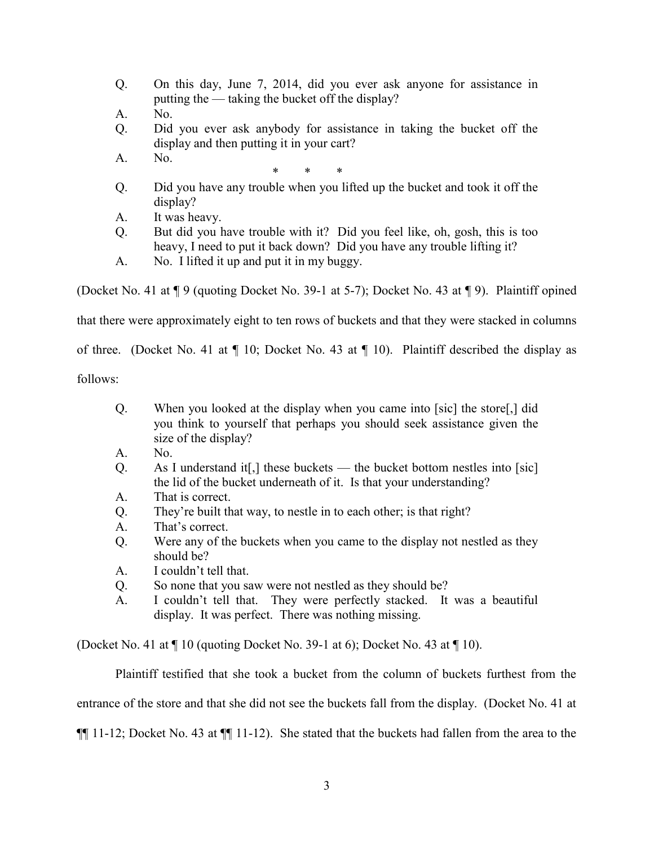- Q. On this day, June 7, 2014, did you ever ask anyone for assistance in putting the — taking the bucket off the display?
- A. No.
- Q. Did you ever ask anybody for assistance in taking the bucket off the display and then putting it in your cart?
- A. No.

\* \* \*

- Q. Did you have any trouble when you lifted up the bucket and took it off the display?
- A. It was heavy.
- Q. But did you have trouble with it? Did you feel like, oh, gosh, this is too heavy, I need to put it back down? Did you have any trouble lifting it?
- A. No. I lifted it up and put it in my buggy.

(Docket No. 41 at ¶ 9 (quoting Docket No. 39-1 at 5-7); Docket No. 43 at ¶ 9). Plaintiff opined

that there were approximately eight to ten rows of buckets and that they were stacked in columns

of three. (Docket No. 41 at ¶ 10; Docket No. 43 at ¶ 10). Plaintiff described the display as

follows:

- Q. When you looked at the display when you came into [sic] the store[,] did you think to yourself that perhaps you should seek assistance given the size of the display?
- A. No.
- Q. As I understand it[,] these buckets the bucket bottom nestles into [sic] the lid of the bucket underneath of it. Is that your understanding?
- A. That is correct.
- Q. They're built that way, to nestle in to each other; is that right?
- A. That's correct.
- Q. Were any of the buckets when you came to the display not nestled as they should be?
- A. I couldn't tell that.
- Q. So none that you saw were not nestled as they should be?
- A. I couldn't tell that. They were perfectly stacked. It was a beautiful display. It was perfect. There was nothing missing.

(Docket No. 41 at ¶ 10 (quoting Docket No. 39-1 at 6); Docket No. 43 at ¶ 10).

Plaintiff testified that she took a bucket from the column of buckets furthest from the entrance of the store and that she did not see the buckets fall from the display. (Docket No. 41 at ¶¶ 11-12; Docket No. 43 at ¶¶ 11-12). She stated that the buckets had fallen from the area to the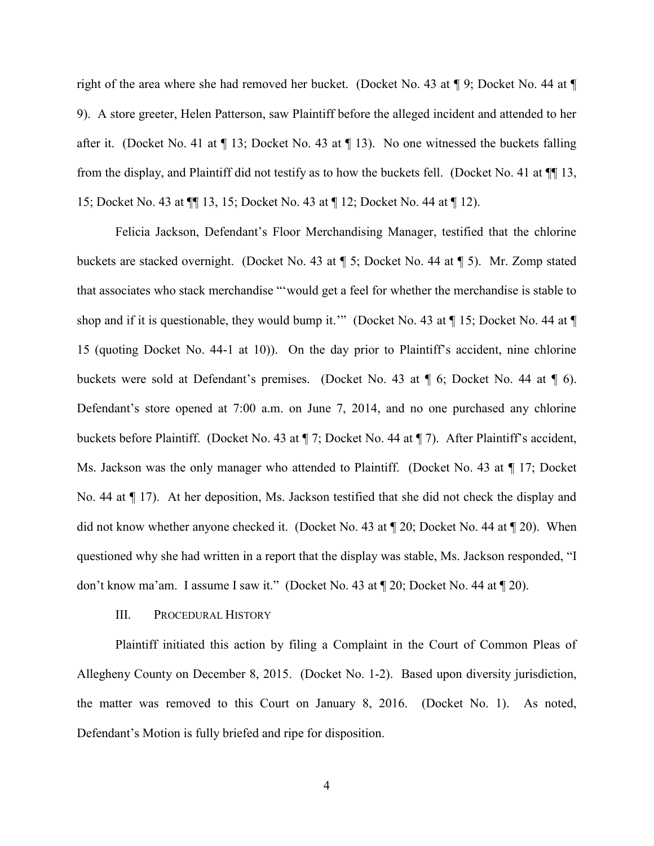right of the area where she had removed her bucket. (Docket No. 43 at ¶ 9; Docket No. 44 at ¶ 9). A store greeter, Helen Patterson, saw Plaintiff before the alleged incident and attended to her after it. (Docket No. 41 at  $\P$  13; Docket No. 43 at  $\P$  13). No one witnessed the buckets falling from the display, and Plaintiff did not testify as to how the buckets fell. (Docket No. 41 at ¶¶ 13, 15; Docket No. 43 at ¶¶ 13, 15; Docket No. 43 at ¶ 12; Docket No. 44 at ¶ 12).

Felicia Jackson, Defendant's Floor Merchandising Manager, testified that the chlorine buckets are stacked overnight. (Docket No. 43 at ¶ 5; Docket No. 44 at ¶ 5). Mr. Zomp stated that associates who stack merchandise "'would get a feel for whether the merchandise is stable to shop and if it is questionable, they would bump it."" (Docket No. 43 at  $\P$  15; Docket No. 44 at  $\P$ 15 (quoting Docket No. 44-1 at 10)). On the day prior to Plaintiff's accident, nine chlorine buckets were sold at Defendant's premises. (Docket No. 43 at ¶ 6; Docket No. 44 at ¶ 6). Defendant's store opened at 7:00 a.m. on June 7, 2014, and no one purchased any chlorine buckets before Plaintiff. (Docket No. 43 at ¶ 7; Docket No. 44 at ¶ 7). After Plaintiff's accident, Ms. Jackson was the only manager who attended to Plaintiff. (Docket No. 43 at ¶ 17; Docket No. 44 at ¶ 17). At her deposition, Ms. Jackson testified that she did not check the display and did not know whether anyone checked it. (Docket No. 43 at ¶ 20; Docket No. 44 at ¶ 20). When questioned why she had written in a report that the display was stable, Ms. Jackson responded, "I don't know ma'am. I assume I saw it." (Docket No. 43 at ¶ 20; Docket No. 44 at ¶ 20).

#### III. PROCEDURAL HISTORY

Plaintiff initiated this action by filing a Complaint in the Court of Common Pleas of Allegheny County on December 8, 2015. (Docket No. 1-2). Based upon diversity jurisdiction, the matter was removed to this Court on January 8, 2016. (Docket No. 1). As noted, Defendant's Motion is fully briefed and ripe for disposition.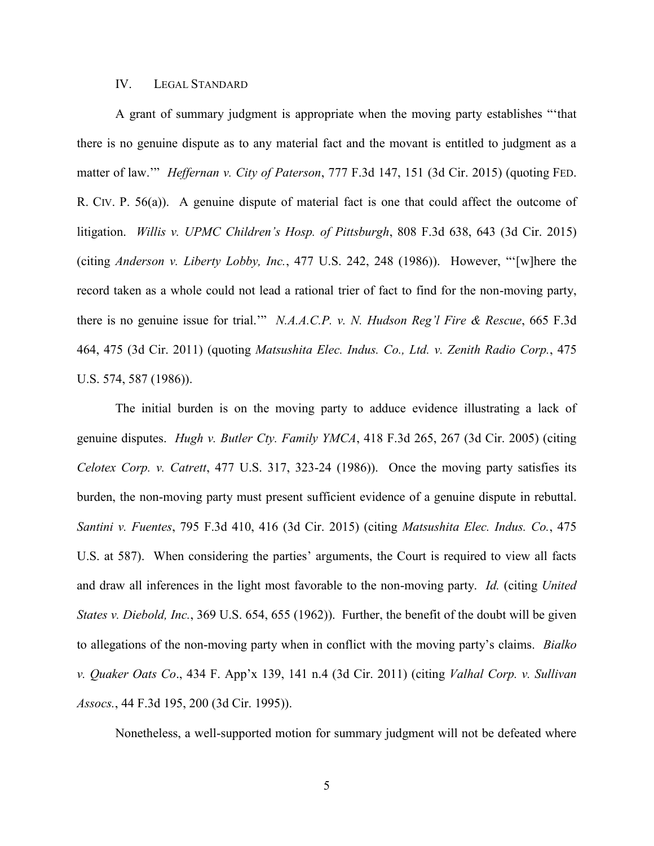#### IV. LEGAL STANDARD

A grant of summary judgment is appropriate when the moving party establishes "'that there is no genuine dispute as to any material fact and the movant is entitled to judgment as a matter of law.'" *Heffernan v. City of Paterson*, 777 F.3d 147, 151 (3d Cir. 2015) (quoting FED. R. CIV. P. 56(a)). A genuine dispute of material fact is one that could affect the outcome of litigation. *Willis v. UPMC Children's Hosp. of Pittsburgh*, 808 F.3d 638, 643 (3d Cir. 2015) (citing *Anderson v. Liberty Lobby, Inc.*, 477 U.S. 242, 248 (1986)). However, "'[w]here the record taken as a whole could not lead a rational trier of fact to find for the non-moving party, there is no genuine issue for trial.'" *N.A.A.C.P. v. N. Hudson Reg'l Fire & Rescue*, 665 F.3d 464, 475 (3d Cir. 2011) (quoting *Matsushita Elec. Indus. Co., Ltd. v. Zenith Radio Corp.*, 475 U.S. 574, 587 (1986)).

The initial burden is on the moving party to adduce evidence illustrating a lack of genuine disputes. *Hugh v. Butler Cty. Family YMCA*, 418 F.3d 265, 267 (3d Cir. 2005) (citing *Celotex Corp. v. Catrett*, 477 U.S. 317, 323-24 (1986)). Once the moving party satisfies its burden, the non-moving party must present sufficient evidence of a genuine dispute in rebuttal. *Santini v. Fuentes*, 795 F.3d 410, 416 (3d Cir. 2015) (citing *Matsushita Elec. Indus. Co.*, 475 U.S. at 587). When considering the parties' arguments, the Court is required to view all facts and draw all inferences in the light most favorable to the non-moving party. *Id.* (citing *United States v. Diebold, Inc.*, 369 U.S. 654, 655 (1962)). Further, the benefit of the doubt will be given to allegations of the non-moving party when in conflict with the moving party's claims. *Bialko v. Quaker Oats Co*., 434 F. App'x 139, 141 n.4 (3d Cir. 2011) (citing *Valhal Corp. v. Sullivan Assocs.*, 44 F.3d 195, 200 (3d Cir. 1995)).

Nonetheless, a well-supported motion for summary judgment will not be defeated where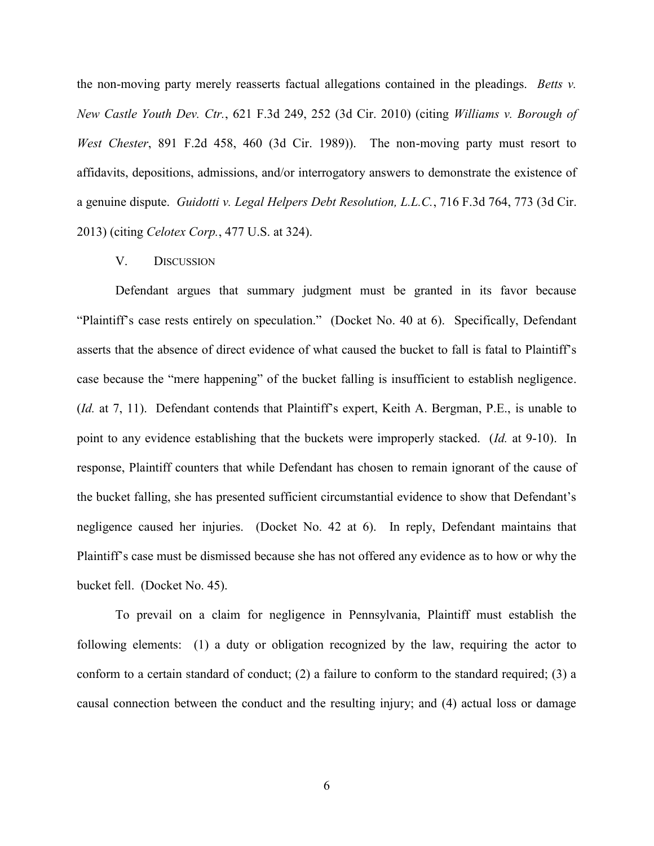the non-moving party merely reasserts factual allegations contained in the pleadings. *Betts v. New Castle Youth Dev. Ctr.*, 621 F.3d 249, 252 (3d Cir. 2010) (citing *Williams v. Borough of West Chester*, 891 F.2d 458, 460 (3d Cir. 1989)). The non-moving party must resort to affidavits, depositions, admissions, and/or interrogatory answers to demonstrate the existence of a genuine dispute. *Guidotti v. Legal Helpers Debt Resolution, L.L.C.*, 716 F.3d 764, 773 (3d Cir. 2013) (citing *Celotex Corp.*, 477 U.S. at 324).

### V. DISCUSSION

Defendant argues that summary judgment must be granted in its favor because "Plaintiff's case rests entirely on speculation." (Docket No. 40 at 6). Specifically, Defendant asserts that the absence of direct evidence of what caused the bucket to fall is fatal to Plaintiff's case because the "mere happening" of the bucket falling is insufficient to establish negligence. (*Id.* at 7, 11). Defendant contends that Plaintiff's expert, Keith A. Bergman, P.E., is unable to point to any evidence establishing that the buckets were improperly stacked. (*Id.* at 9-10). In response, Plaintiff counters that while Defendant has chosen to remain ignorant of the cause of the bucket falling, she has presented sufficient circumstantial evidence to show that Defendant's negligence caused her injuries. (Docket No. 42 at 6). In reply, Defendant maintains that Plaintiff's case must be dismissed because she has not offered any evidence as to how or why the bucket fell. (Docket No. 45).

To prevail on a claim for negligence in Pennsylvania, Plaintiff must establish the following elements: (1) a duty or obligation recognized by the law, requiring the actor to conform to a certain standard of conduct; (2) a failure to conform to the standard required; (3) a causal connection between the conduct and the resulting injury; and (4) actual loss or damage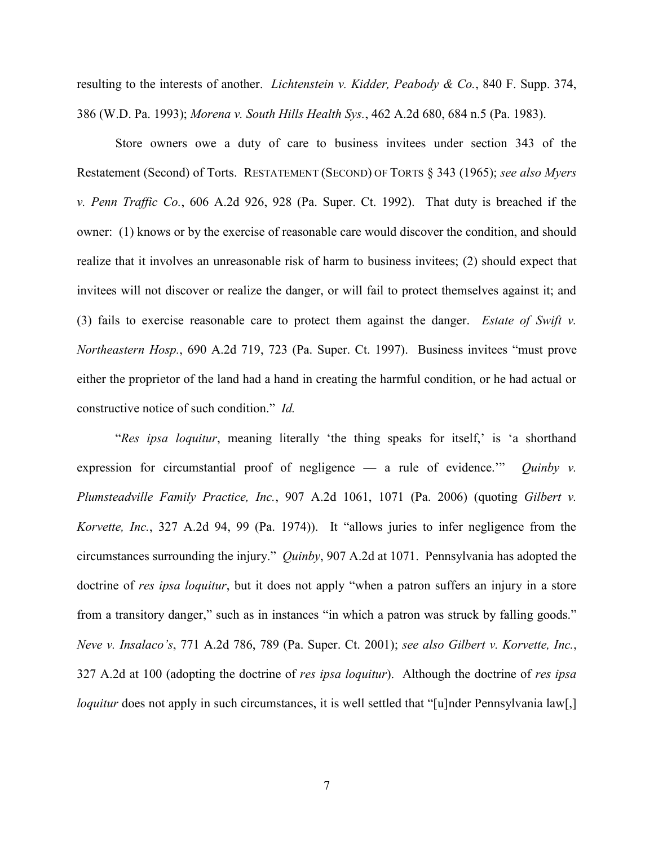resulting to the interests of another. *Lichtenstein v. Kidder, Peabody & Co.*, 840 F. Supp. 374, 386 (W.D. Pa. 1993); *Morena v. South Hills Health Sys.*, 462 A.2d 680, 684 n.5 (Pa. 1983).

Store owners owe a duty of care to business invitees under section 343 of the Restatement (Second) of Torts. RESTATEMENT (SECOND) OF TORTS § 343 (1965); *see also Myers v. Penn Traffic Co.*, 606 A.2d 926, 928 (Pa. Super. Ct. 1992). That duty is breached if the owner: (1) knows or by the exercise of reasonable care would discover the condition, and should realize that it involves an unreasonable risk of harm to business invitees; (2) should expect that invitees will not discover or realize the danger, or will fail to protect themselves against it; and (3) fails to exercise reasonable care to protect them against the danger. *Estate of Swift v. Northeastern Hosp.*, 690 A.2d 719, 723 (Pa. Super. Ct. 1997). Business invitees "must prove either the proprietor of the land had a hand in creating the harmful condition, or he had actual or constructive notice of such condition." *Id.* 

"*Res ipsa loquitur*, meaning literally 'the thing speaks for itself,' is 'a shorthand expression for circumstantial proof of negligence — a rule of evidence.'" *Quinby v. Plumsteadville Family Practice, Inc.*, 907 A.2d 1061, 1071 (Pa. 2006) (quoting *Gilbert v. Korvette, Inc.*, 327 A.2d 94, 99 (Pa. 1974)). It "allows juries to infer negligence from the circumstances surrounding the injury." *Quinby*, 907 A.2d at 1071. Pennsylvania has adopted the doctrine of *res ipsa loquitur*, but it does not apply "when a patron suffers an injury in a store from a transitory danger," such as in instances "in which a patron was struck by falling goods." *Neve v. Insalaco's*, 771 A.2d 786, 789 (Pa. Super. Ct. 2001); *see also Gilbert v. Korvette, Inc.*, 327 A.2d at 100 (adopting the doctrine of *res ipsa loquitur*). Although the doctrine of *res ipsa loquitur* does not apply in such circumstances, it is well settled that "[u]nder Pennsylvania law[,]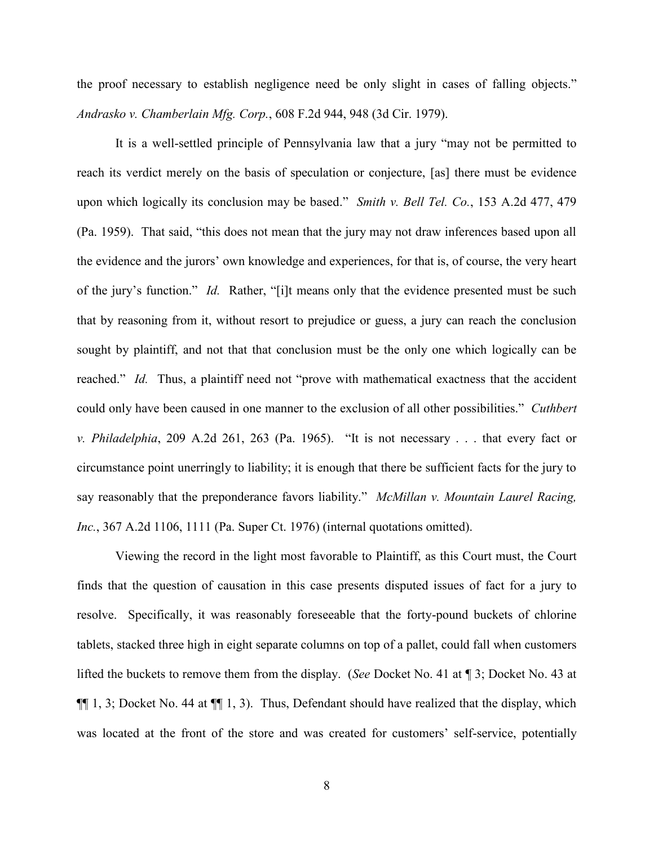the proof necessary to establish negligence need be only slight in cases of falling objects." *Andrasko v. Chamberlain Mfg. Corp.*, 608 F.2d 944, 948 (3d Cir. 1979).

It is a well-settled principle of Pennsylvania law that a jury "may not be permitted to reach its verdict merely on the basis of speculation or conjecture, [as] there must be evidence upon which logically its conclusion may be based." *Smith v. Bell Tel. Co.*, 153 A.2d 477, 479 (Pa. 1959). That said, "this does not mean that the jury may not draw inferences based upon all the evidence and the jurors' own knowledge and experiences, for that is, of course, the very heart of the jury's function." *Id.* Rather, "[i]t means only that the evidence presented must be such that by reasoning from it, without resort to prejudice or guess, a jury can reach the conclusion sought by plaintiff, and not that that conclusion must be the only one which logically can be reached." *Id.* Thus, a plaintiff need not "prove with mathematical exactness that the accident could only have been caused in one manner to the exclusion of all other possibilities." *Cuthbert v. Philadelphia*, 209 A.2d 261, 263 (Pa. 1965). "It is not necessary . . . that every fact or circumstance point unerringly to liability; it is enough that there be sufficient facts for the jury to say reasonably that the preponderance favors liability." *McMillan v. Mountain Laurel Racing, Inc.*, 367 A.2d 1106, 1111 (Pa. Super Ct. 1976) (internal quotations omitted).

Viewing the record in the light most favorable to Plaintiff, as this Court must, the Court finds that the question of causation in this case presents disputed issues of fact for a jury to resolve. Specifically, it was reasonably foreseeable that the forty-pound buckets of chlorine tablets, stacked three high in eight separate columns on top of a pallet, could fall when customers lifted the buckets to remove them from the display. (*See* Docket No. 41 at ¶ 3; Docket No. 43 at ¶¶ 1, 3; Docket No. 44 at ¶¶ 1, 3). Thus, Defendant should have realized that the display, which was located at the front of the store and was created for customers' self-service, potentially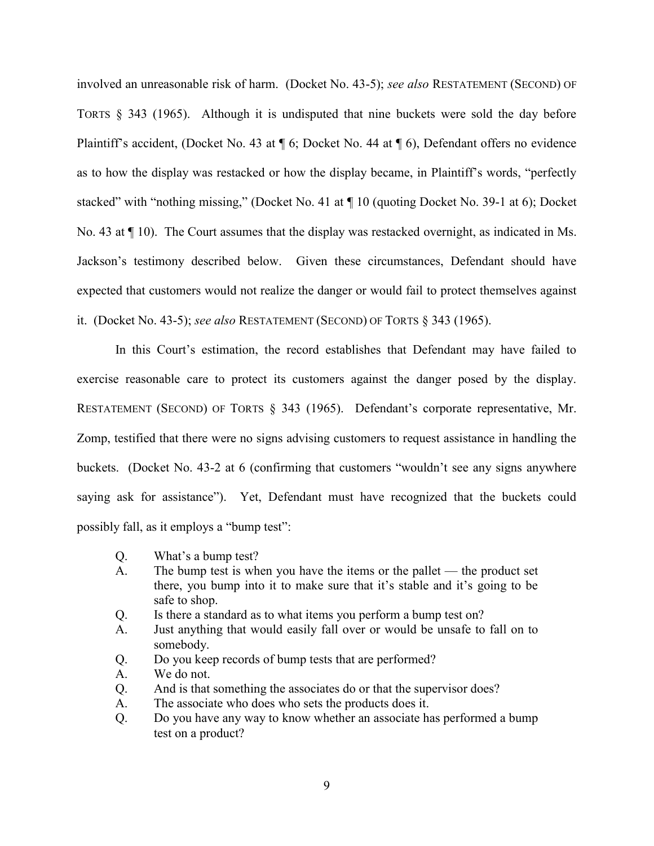involved an unreasonable risk of harm. (Docket No. 43-5); *see also* RESTATEMENT (SECOND) OF TORTS § 343 (1965). Although it is undisputed that nine buckets were sold the day before Plaintiff's accident, (Docket No. 43 at ¶ 6; Docket No. 44 at ¶ 6), Defendant offers no evidence as to how the display was restacked or how the display became, in Plaintiff's words, "perfectly stacked" with "nothing missing," (Docket No. 41 at  $\P$  10 (quoting Docket No. 39-1 at 6); Docket No. 43 at ¶ 10). The Court assumes that the display was restacked overnight, as indicated in Ms. Jackson's testimony described below. Given these circumstances, Defendant should have expected that customers would not realize the danger or would fail to protect themselves against it. (Docket No. 43-5); *see also* RESTATEMENT (SECOND) OF TORTS § 343 (1965).

In this Court's estimation, the record establishes that Defendant may have failed to exercise reasonable care to protect its customers against the danger posed by the display. RESTATEMENT (SECOND) OF TORTS § 343 (1965). Defendant's corporate representative, Mr. Zomp, testified that there were no signs advising customers to request assistance in handling the buckets. (Docket No. 43-2 at 6 (confirming that customers "wouldn't see any signs anywhere saying ask for assistance"). Yet, Defendant must have recognized that the buckets could possibly fall, as it employs a "bump test":

- Q. What's a bump test?
- A. The bump test is when you have the items or the pallet the product set there, you bump into it to make sure that it's stable and it's going to be safe to shop.
- Q. Is there a standard as to what items you perform a bump test on?
- A. Just anything that would easily fall over or would be unsafe to fall on to somebody.
- Q. Do you keep records of bump tests that are performed?
- A. We do not.
- Q. And is that something the associates do or that the supervisor does?
- A. The associate who does who sets the products does it.
- Q. Do you have any way to know whether an associate has performed a bump test on a product?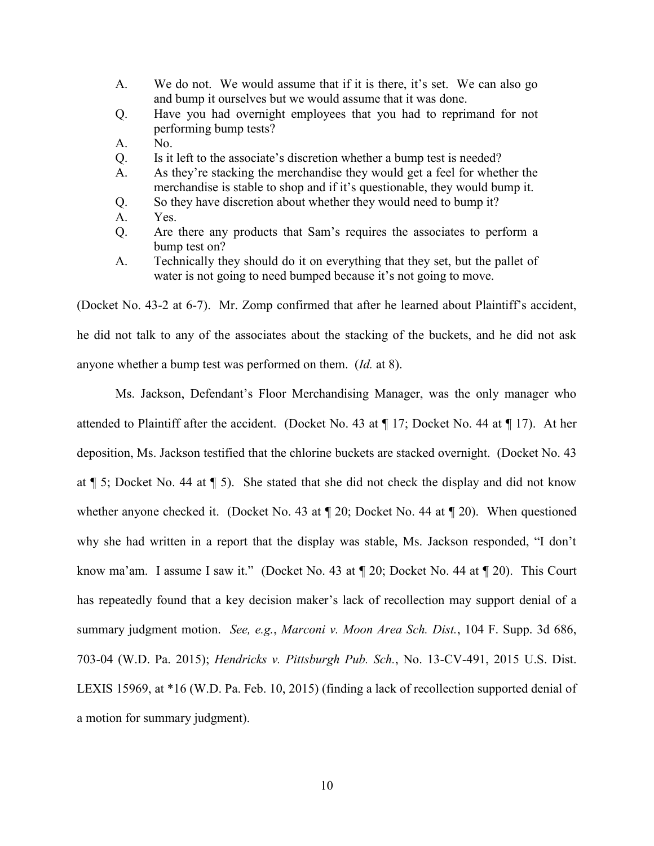- A. We do not. We would assume that if it is there, it's set. We can also go and bump it ourselves but we would assume that it was done.
- Q. Have you had overnight employees that you had to reprimand for not performing bump tests?
- A. No.
- Q. Is it left to the associate's discretion whether a bump test is needed?
- A. As they're stacking the merchandise they would get a feel for whether the merchandise is stable to shop and if it's questionable, they would bump it.
- Q. So they have discretion about whether they would need to bump it?
- A. Yes.
- Q. Are there any products that Sam's requires the associates to perform a bump test on?
- A. Technically they should do it on everything that they set, but the pallet of water is not going to need bumped because it's not going to move.

(Docket No. 43-2 at 6-7). Mr. Zomp confirmed that after he learned about Plaintiff's accident, he did not talk to any of the associates about the stacking of the buckets, and he did not ask anyone whether a bump test was performed on them. (*Id.* at 8).

Ms. Jackson, Defendant's Floor Merchandising Manager, was the only manager who attended to Plaintiff after the accident. (Docket No. 43 at ¶ 17; Docket No. 44 at ¶ 17). At her deposition, Ms. Jackson testified that the chlorine buckets are stacked overnight. (Docket No. 43 at ¶ 5; Docket No. 44 at ¶ 5). She stated that she did not check the display and did not know whether anyone checked it. (Docket No. 43 at  $\P$  20; Docket No. 44 at  $\P$  20). When questioned why she had written in a report that the display was stable, Ms. Jackson responded, "I don't know ma'am. I assume I saw it." (Docket No. 43 at  $\P$  20; Docket No. 44 at  $\P$  20). This Court has repeatedly found that a key decision maker's lack of recollection may support denial of a summary judgment motion. *See, e.g.*, *Marconi v. Moon Area Sch. Dist.*, 104 F. Supp. 3d 686, 703-04 (W.D. Pa. 2015); *Hendricks v. Pittsburgh Pub. Sch.*, No. 13-CV-491, 2015 U.S. Dist. LEXIS 15969, at \*16 (W.D. Pa. Feb. 10, 2015) (finding a lack of recollection supported denial of a motion for summary judgment).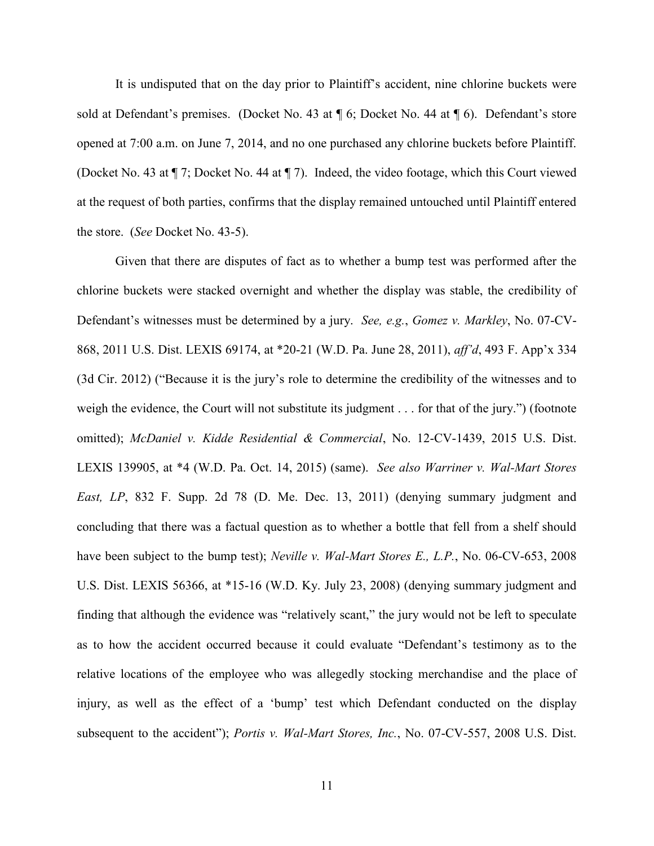It is undisputed that on the day prior to Plaintiff's accident, nine chlorine buckets were sold at Defendant's premises. (Docket No. 43 at  $\P$  6; Docket No. 44 at  $\P$  6). Defendant's store opened at 7:00 a.m. on June 7, 2014, and no one purchased any chlorine buckets before Plaintiff. (Docket No. 43 at ¶ 7; Docket No. 44 at ¶ 7). Indeed, the video footage, which this Court viewed at the request of both parties, confirms that the display remained untouched until Plaintiff entered the store. (*See* Docket No. 43-5).

Given that there are disputes of fact as to whether a bump test was performed after the chlorine buckets were stacked overnight and whether the display was stable, the credibility of Defendant's witnesses must be determined by a jury. *See, e.g.*, *Gomez v. Markley*, No. 07-CV-868, 2011 U.S. Dist. LEXIS 69174, at \*20-21 (W.D. Pa. June 28, 2011), *aff'd*, 493 F. App'x 334 (3d Cir. 2012) ("Because it is the jury's role to determine the credibility of the witnesses and to weigh the evidence, the Court will not substitute its judgment . . . for that of the jury.") (footnote omitted); *McDaniel v. Kidde Residential & Commercial*, No. 12-CV-1439, 2015 U.S. Dist. LEXIS 139905, at \*4 (W.D. Pa. Oct. 14, 2015) (same). *See also Warriner v. Wal-Mart Stores East, LP*, 832 F. Supp. 2d 78 (D. Me. Dec. 13, 2011) (denying summary judgment and concluding that there was a factual question as to whether a bottle that fell from a shelf should have been subject to the bump test); *Neville v. Wal-Mart Stores E., L.P.*, No. 06-CV-653, 2008 U.S. Dist. LEXIS 56366, at \*15-16 (W.D. Ky. July 23, 2008) (denying summary judgment and finding that although the evidence was "relatively scant," the jury would not be left to speculate as to how the accident occurred because it could evaluate "Defendant's testimony as to the relative locations of the employee who was allegedly stocking merchandise and the place of injury, as well as the effect of a 'bump' test which Defendant conducted on the display subsequent to the accident"); *Portis v. Wal-Mart Stores, Inc.*, No. 07-CV-557, 2008 U.S. Dist.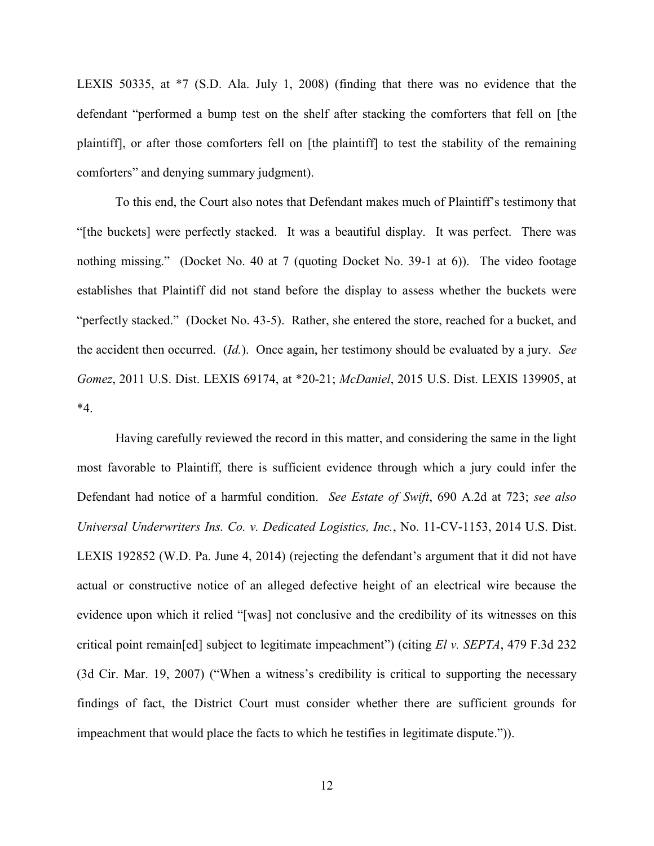LEXIS 50335, at \*7 (S.D. Ala. July 1, 2008) (finding that there was no evidence that the defendant "performed a bump test on the shelf after stacking the comforters that fell on [the plaintiff], or after those comforters fell on [the plaintiff] to test the stability of the remaining comforters" and denying summary judgment).

To this end, the Court also notes that Defendant makes much of Plaintiff's testimony that "[the buckets] were perfectly stacked. It was a beautiful display. It was perfect. There was nothing missing." (Docket No. 40 at 7 (quoting Docket No. 39-1 at 6)). The video footage establishes that Plaintiff did not stand before the display to assess whether the buckets were "perfectly stacked." (Docket No. 43-5). Rather, she entered the store, reached for a bucket, and the accident then occurred. (*Id.*). Once again, her testimony should be evaluated by a jury. *See Gomez*, 2011 U.S. Dist. LEXIS 69174, at \*20-21; *McDaniel*, 2015 U.S. Dist. LEXIS 139905, at  $*_{4}$ 

Having carefully reviewed the record in this matter, and considering the same in the light most favorable to Plaintiff, there is sufficient evidence through which a jury could infer the Defendant had notice of a harmful condition. *See Estate of Swift*, 690 A.2d at 723; *see also Universal Underwriters Ins. Co. v. Dedicated Logistics, Inc.*, No. 11-CV-1153, 2014 U.S. Dist. LEXIS 192852 (W.D. Pa. June 4, 2014) (rejecting the defendant's argument that it did not have actual or constructive notice of an alleged defective height of an electrical wire because the evidence upon which it relied "[was] not conclusive and the credibility of its witnesses on this critical point remain[ed] subject to legitimate impeachment") (citing *El v. SEPTA*, 479 F.3d 232 (3d Cir. Mar. 19, 2007) ("When a witness's credibility is critical to supporting the necessary findings of fact, the District Court must consider whether there are sufficient grounds for impeachment that would place the facts to which he testifies in legitimate dispute.")).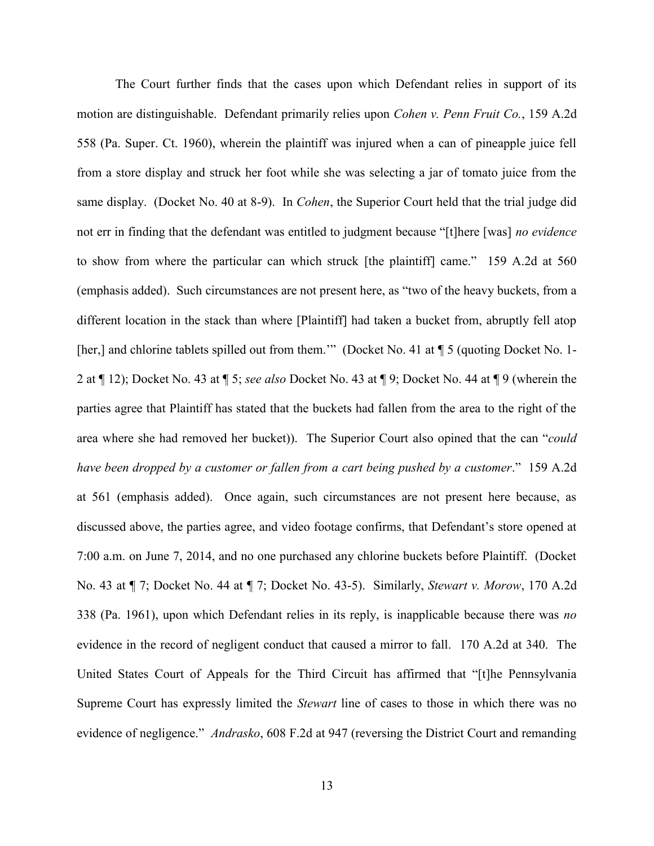The Court further finds that the cases upon which Defendant relies in support of its motion are distinguishable. Defendant primarily relies upon *Cohen v. Penn Fruit Co.*, 159 A.2d 558 (Pa. Super. Ct. 1960), wherein the plaintiff was injured when a can of pineapple juice fell from a store display and struck her foot while she was selecting a jar of tomato juice from the same display. (Docket No. 40 at 8-9). In *Cohen*, the Superior Court held that the trial judge did not err in finding that the defendant was entitled to judgment because "[t]here [was] *no evidence* to show from where the particular can which struck [the plaintiff] came." 159 A.2d at 560 (emphasis added). Such circumstances are not present here, as "two of the heavy buckets, from a different location in the stack than where [Plaintiff] had taken a bucket from, abruptly fell atop [her,] and chlorine tablets spilled out from them.'" (Docket No. 41 at  $\P$  5 (quoting Docket No. 1-2 at ¶ 12); Docket No. 43 at ¶ 5; *see also* Docket No. 43 at ¶ 9; Docket No. 44 at ¶ 9 (wherein the parties agree that Plaintiff has stated that the buckets had fallen from the area to the right of the area where she had removed her bucket)). The Superior Court also opined that the can "*could have been dropped by a customer or fallen from a cart being pushed by a customer*."159 A.2d at 561 (emphasis added). Once again, such circumstances are not present here because, as discussed above, the parties agree, and video footage confirms, that Defendant's store opened at 7:00 a.m. on June 7, 2014, and no one purchased any chlorine buckets before Plaintiff. (Docket No. 43 at ¶ 7; Docket No. 44 at ¶ 7; Docket No. 43-5). Similarly, *Stewart v. Morow*, 170 A.2d 338 (Pa. 1961), upon which Defendant relies in its reply, is inapplicable because there was *no* evidence in the record of negligent conduct that caused a mirror to fall. 170 A.2d at 340. The United States Court of Appeals for the Third Circuit has affirmed that "[t]he Pennsylvania Supreme Court has expressly limited the *Stewart* line of cases to those in which there was no evidence of negligence." *Andrasko*, 608 F.2d at 947 (reversing the District Court and remanding